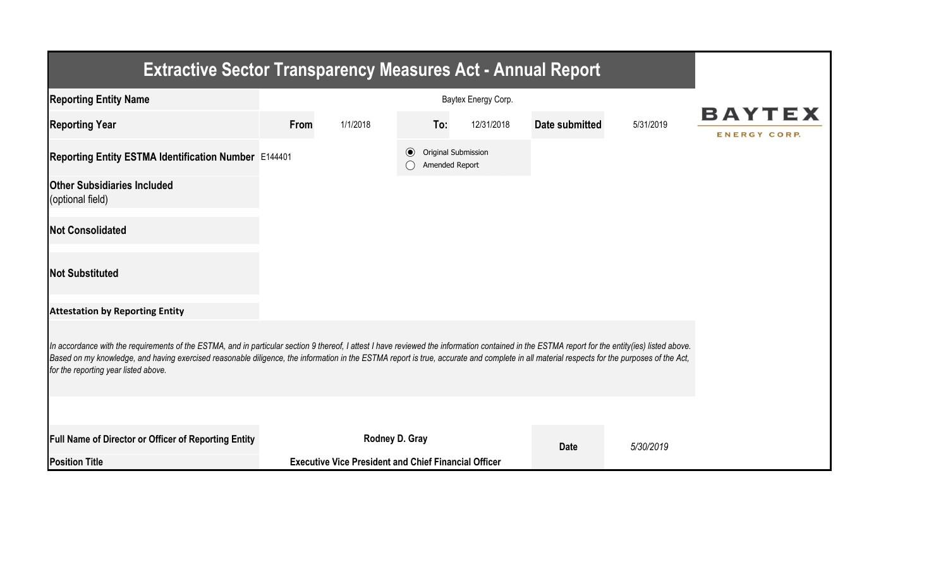| <b>Extractive Sector Transparency Measures Act - Annual Report</b>                                                                                                                                                                                                                                                                                                                                                                    |      |                                                             |         |                                       |                |           |                                      |
|---------------------------------------------------------------------------------------------------------------------------------------------------------------------------------------------------------------------------------------------------------------------------------------------------------------------------------------------------------------------------------------------------------------------------------------|------|-------------------------------------------------------------|---------|---------------------------------------|----------------|-----------|--------------------------------------|
| <b>Reporting Entity Name</b>                                                                                                                                                                                                                                                                                                                                                                                                          |      |                                                             |         |                                       |                |           |                                      |
| <b>Reporting Year</b>                                                                                                                                                                                                                                                                                                                                                                                                                 | From | 1/1/2018                                                    | To:     | 12/31/2018                            | Date submitted | 5/31/2019 | <b>BAYTEX</b><br><b>ENERGY CORP.</b> |
| Reporting Entity ESTMA Identification Number E144401                                                                                                                                                                                                                                                                                                                                                                                  |      |                                                             | $\odot$ | Original Submission<br>Amended Report |                |           |                                      |
| <b>Other Subsidiaries Included</b><br>(optional field)                                                                                                                                                                                                                                                                                                                                                                                |      |                                                             |         |                                       |                |           |                                      |
| <b>Not Consolidated</b>                                                                                                                                                                                                                                                                                                                                                                                                               |      |                                                             |         |                                       |                |           |                                      |
| <b>Not Substituted</b>                                                                                                                                                                                                                                                                                                                                                                                                                |      |                                                             |         |                                       |                |           |                                      |
| <b>Attestation by Reporting Entity</b>                                                                                                                                                                                                                                                                                                                                                                                                |      |                                                             |         |                                       |                |           |                                      |
| In accordance with the requirements of the ESTMA, and in particular section 9 thereof, I attest I have reviewed the information contained in the ESTMA report for the entity(ies) listed above.<br>Based on my knowledge, and having exercised reasonable diligence, the information in the ESTMA report is true, accurate and complete in all material respects for the purposes of the Act,<br>for the reporting year listed above. |      |                                                             |         |                                       |                |           |                                      |
|                                                                                                                                                                                                                                                                                                                                                                                                                                       |      |                                                             |         |                                       |                |           |                                      |
| Full Name of Director or Officer of Reporting Entity                                                                                                                                                                                                                                                                                                                                                                                  |      | Rodney D. Gray                                              |         |                                       | <b>Date</b>    | 5/30/2019 |                                      |
| <b>Position Title</b>                                                                                                                                                                                                                                                                                                                                                                                                                 |      | <b>Executive Vice President and Chief Financial Officer</b> |         |                                       |                |           |                                      |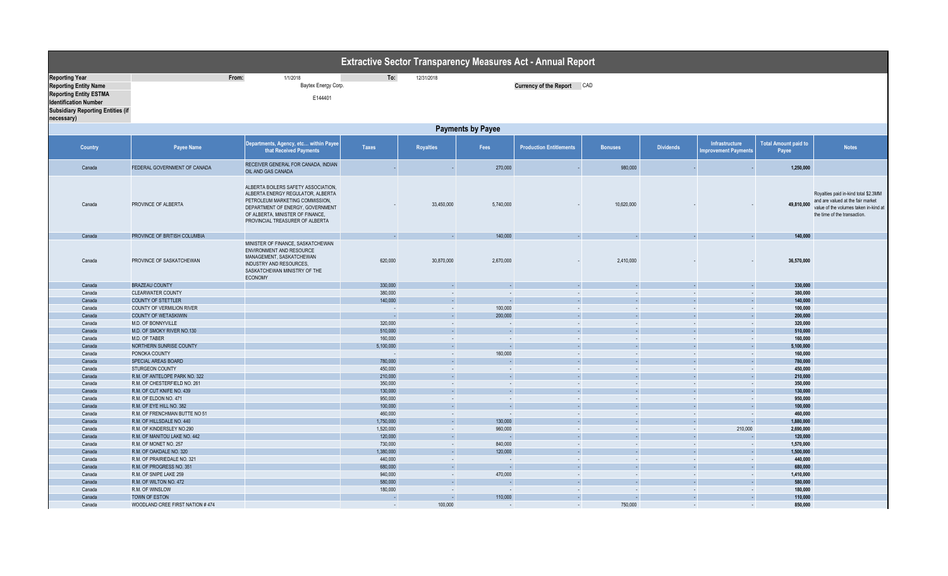|                                                                                                                                                                                  | <b>Extractive Sector Transparency Measures Act - Annual Report</b> |                                                                                                                                                                                                                        |                    |                             |                          |                                |                  |                  |                                               |                                      |                                                                                                                                                    |
|----------------------------------------------------------------------------------------------------------------------------------------------------------------------------------|--------------------------------------------------------------------|------------------------------------------------------------------------------------------------------------------------------------------------------------------------------------------------------------------------|--------------------|-----------------------------|--------------------------|--------------------------------|------------------|------------------|-----------------------------------------------|--------------------------------------|----------------------------------------------------------------------------------------------------------------------------------------------------|
| <b>Reporting Year</b><br><b>Reporting Entity Name</b><br><b>Reporting Entity ESTMA</b><br><b>Identification Number</b><br><b>Subsidiary Reporting Entities (if</b><br>necessary) |                                                                    | From:<br>1/1/2018<br>Baytex Energy Corp.<br>E144401                                                                                                                                                                    | To:                | 12/31/2018                  |                          | Currency of the Report CAD     |                  |                  |                                               |                                      |                                                                                                                                                    |
|                                                                                                                                                                                  |                                                                    |                                                                                                                                                                                                                        |                    |                             | <b>Payments by Payee</b> |                                |                  |                  |                                               |                                      |                                                                                                                                                    |
| <b>Country</b>                                                                                                                                                                   | <b>Payee Name</b>                                                  | Departments, Agency, etc within Payee<br>that Received Payments                                                                                                                                                        | <b>Taxes</b>       | <b>Royalties</b>            | Fees                     | <b>Production Entitlements</b> | <b>Bonuses</b>   | <b>Dividends</b> | Infrastructure<br><b>Improvement Payments</b> | <b>Total Amount paid to</b><br>Payee | <b>Notes</b>                                                                                                                                       |
| Canada                                                                                                                                                                           | FEDERAL GOVERNMENT OF CANADA                                       | RECEIVER GENERAL FOR CANADA, INDIAN<br>OIL AND GAS CANADA                                                                                                                                                              |                    |                             | 270,000                  |                                | 980,000          |                  |                                               | 1,250,000                            |                                                                                                                                                    |
| Canada                                                                                                                                                                           | PROVINCE OF ALBERTA                                                | ALBERTA BOILERS SAFETY ASSOCIATION,<br>ALBERTA ENERGY REGULATOR, ALBERTA<br>PETROLEUM MARKETING COMMISSION,<br>DEPARTMENT OF ENERGY, GOVERNMENT<br>OF ALBERTA, MINISTER OF FINANCE,<br>PROVINCIAL TREASURER OF ALBERTA |                    | 33,450,000                  | 5,740,000                |                                | 10,620,000       |                  |                                               | 49,810,000                           | Royalties paid in-kind total \$2.3MM<br>and are valued at the fair market<br>value of the volumes taken in-kind at<br>the time of the transaction. |
| Canada                                                                                                                                                                           | PROVINCE OF BRITISH COLUMBIA                                       |                                                                                                                                                                                                                        | $\sim$             | ÷                           | 140,000                  |                                |                  |                  |                                               | 140,000                              |                                                                                                                                                    |
| Canada                                                                                                                                                                           | PROVINCE OF SASKATCHEWAN                                           | MINISTER OF FINANCE, SASKATCHEWAN<br>ENVIRONMENT AND RESOURCE<br>MANAGEMENT, SASKATCHEWAN<br>INDUSTRY AND RESOURCES.<br>SASKATCHEWAN MINISTRY OF THE<br><b>ECONOMY</b>                                                 | 620,000            | 30,870,000                  | 2,670,000                |                                | 2,410,000        |                  |                                               | 36,570,000                           |                                                                                                                                                    |
| Canada                                                                                                                                                                           | <b>BRAZEAU COUNTY</b>                                              |                                                                                                                                                                                                                        | 330,000            | $\mathcal{L}_{\mathcal{A}}$ | $\sim$                   |                                | $\sim$           |                  |                                               | 330,000                              |                                                                                                                                                    |
| Canada                                                                                                                                                                           | <b>CLEARWATER COUNTY</b>                                           |                                                                                                                                                                                                                        | 380,000            | $\sim$                      | $\sim$                   | $\sim$                         | $\sim$           | $\sim$           | $\sim$                                        | 380,000                              |                                                                                                                                                    |
| Canada                                                                                                                                                                           | <b>COUNTY OF STETTLER</b>                                          |                                                                                                                                                                                                                        | 140,000            | $\sim$                      |                          |                                | $\sim$           |                  |                                               | 140,000                              |                                                                                                                                                    |
| Canada                                                                                                                                                                           | COUNTY OF VERMILION RIVER                                          |                                                                                                                                                                                                                        | $\sim$             | $\sim$                      | 100,000<br>200,000       |                                | $\sim$<br>$\sim$ |                  | $\sim$                                        | 100,000                              |                                                                                                                                                    |
| Canada<br>Canada                                                                                                                                                                 | <b>COUNTY OF WETASKIWIN</b><br>M.D. OF BONNYVILLE                  |                                                                                                                                                                                                                        | $\sim$<br>320,000  | $\blacksquare$<br>$\sim$    | $\sim$                   | $\sim$                         | $\sim$           | $\sim$           | $\sim$                                        | 200,000<br>320,000                   |                                                                                                                                                    |
| Canada                                                                                                                                                                           | M.D. OF SMOKY RIVER NO.130                                         |                                                                                                                                                                                                                        | 510,000            | ×.                          |                          |                                | n.               |                  |                                               | 510,000                              |                                                                                                                                                    |
| Canada                                                                                                                                                                           | M.D. OF TABER                                                      |                                                                                                                                                                                                                        | 160,000            | $\sim$                      | $\sim$                   |                                | $\sim$           | $\sim$           | $\sim$                                        | 160,000                              |                                                                                                                                                    |
| Canada                                                                                                                                                                           | NORTHERN SUNRISE COUNTY                                            |                                                                                                                                                                                                                        | 5,100,000          | ÷.                          |                          |                                | ÷.               |                  |                                               | 5,100,000                            |                                                                                                                                                    |
| Canada                                                                                                                                                                           | PONOKA COUNTY                                                      |                                                                                                                                                                                                                        |                    | $\mathcal{L}$               | 160,000                  | $\sim$                         | $\sim$           | $\sim$           | $\sim$                                        | 160,000                              |                                                                                                                                                    |
| Canada                                                                                                                                                                           | SPECIAL AREAS BOARD                                                |                                                                                                                                                                                                                        | 780,000            | ÷.                          |                          |                                | ÷.               |                  |                                               | 780,000                              |                                                                                                                                                    |
| Canada                                                                                                                                                                           | <b>STURGEON COUNTY</b>                                             |                                                                                                                                                                                                                        | 450,000            | $\sim$                      |                          | $\sim$                         | $\sim$           | $\sim$           | $\sim$                                        | 450,000                              |                                                                                                                                                    |
| Canada                                                                                                                                                                           | R.M. OF ANTELOPE PARK NO. 322                                      |                                                                                                                                                                                                                        | 210,000            | ÷.                          |                          |                                | $\sim$           |                  |                                               | 210,000                              |                                                                                                                                                    |
| Canada                                                                                                                                                                           | R.M. OF CHESTERFIELD NO. 261                                       |                                                                                                                                                                                                                        | 350,000            | $\sim$                      | <b>Section</b>           | $\sim$                         | $\sim$           | $\sim$           | $\sim$                                        | 350,000                              |                                                                                                                                                    |
| Canada                                                                                                                                                                           | R.M. OF CUT KNIFE NO. 439                                          |                                                                                                                                                                                                                        | 130,000            | $\sim$                      | ш.                       | ÷.                             | $\sim$           |                  | $\sim$                                        | 130,000                              |                                                                                                                                                    |
| Canada<br>Canada                                                                                                                                                                 | R.M. OF ELDON NO. 471<br>R.M. OF EYE HILL NO. 382                  |                                                                                                                                                                                                                        | 950,000<br>100,000 | $\sim$<br>÷                 | $\sim$<br>$\sim$         | $\sim$                         | $\sim$<br>$\sim$ | $\sim$<br>$\sim$ | $\sim$<br>$\sim$                              | 950,000<br>100.000                   |                                                                                                                                                    |
| Canada                                                                                                                                                                           | R.M. OF FRENCHMAN BUTTE NO 51                                      |                                                                                                                                                                                                                        | 460,000            | $\sim$                      | $\sim$                   | $\sim$                         | $\sim$           | . .              | $\sim$                                        | 460,000                              |                                                                                                                                                    |
| Canada                                                                                                                                                                           | R.M. OF HILLSDALE NO. 440                                          |                                                                                                                                                                                                                        | 1,750,000          | ÷.                          | 130,000                  | $\sim$                         | $\sim$           | ÷.               | $\sim$                                        | 1.880.000                            |                                                                                                                                                    |
| Canada                                                                                                                                                                           | R.M. OF KINDERSLEY NO.290                                          |                                                                                                                                                                                                                        | 1,520,000          | $\sim$ .                    | 960,000                  | $\sim$                         | $\sim$           | $\sim$           | 210,000                                       | 2,690,000                            |                                                                                                                                                    |
| Canada                                                                                                                                                                           | R.M. OF MANITOU LAKE NO. 442                                       |                                                                                                                                                                                                                        | 120,000            | $\sim$                      |                          |                                | $\sim$           |                  |                                               | 120,000                              |                                                                                                                                                    |
| Canada                                                                                                                                                                           | R.M. OF MONET NO. 257                                              |                                                                                                                                                                                                                        | 730,000            | $\sim$                      | 840,000                  | $\sim$                         | $\sim$           | $\sim$           | $\sim$                                        | 1,570,000                            |                                                                                                                                                    |
| Canada                                                                                                                                                                           | R.M. OF OAKDALE NO. 320                                            |                                                                                                                                                                                                                        | 1,380,000          | H.                          | 120,000                  | $\sim$                         | $\sim$           |                  | $\sim$                                        | 1,500,000                            |                                                                                                                                                    |
| Canada                                                                                                                                                                           | R.M. OF PRAIRIEDALE NO. 321                                        |                                                                                                                                                                                                                        | 440,000            | $\mathcal{L}$               |                          | $\sim$                         | $\sim$           | $\sim$           | $\sim$                                        | 440,000                              |                                                                                                                                                    |
| Canada                                                                                                                                                                           | R.M. OF PROGRESS NO. 351                                           |                                                                                                                                                                                                                        | 680,000            | $\sim$                      |                          |                                | $\sim$           |                  | $\sim$                                        | 680,000                              |                                                                                                                                                    |
| Canada                                                                                                                                                                           | R.M. OF SNIPE LAKE 259                                             |                                                                                                                                                                                                                        | 940,000            | $\sim$                      | 470,000                  | $\sim$                         | $\sim$           | $\sim$           | $\sim$                                        | 1,410,000                            |                                                                                                                                                    |
| Canada                                                                                                                                                                           | R.M. OF WILTON NO. 472                                             |                                                                                                                                                                                                                        | 580,000            | $\sim$                      |                          | $\sim$                         | $\sim$           |                  | $\sim$                                        | 580,000                              |                                                                                                                                                    |
| Canada                                                                                                                                                                           | R.M. OF WINSLOW                                                    |                                                                                                                                                                                                                        | 180,000            | $\sim$                      | $\sim$                   | $\sim$                         | $\sim$           | $\sim$           | $\sim$                                        | 180,000                              |                                                                                                                                                    |
| Canada                                                                                                                                                                           | TOWN OF ESTON                                                      |                                                                                                                                                                                                                        | - 1                | ×.                          | 110,000                  |                                |                  |                  | ÷.                                            | 110.000                              |                                                                                                                                                    |
| Canada                                                                                                                                                                           | WOODLAND CREE FIRST NATION #474                                    |                                                                                                                                                                                                                        | $\sim$             | 100,000                     | $\sim$                   | $\sim$                         | 750,000          | $\sim$           | $\sim$                                        | 850,000                              |                                                                                                                                                    |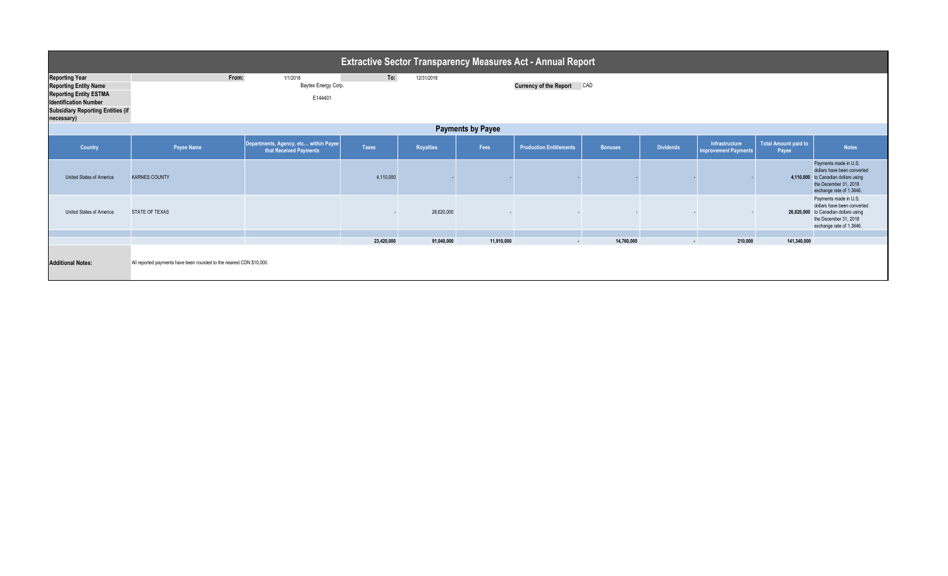| <b>Extractive Sector Transparency Measures Act - Annual Report</b>                                                                                                               |                                                                                                        |                                                                 |              |            |            |                                |                |                  |                                               |                                      |                                                                                                                                                   |
|----------------------------------------------------------------------------------------------------------------------------------------------------------------------------------|--------------------------------------------------------------------------------------------------------|-----------------------------------------------------------------|--------------|------------|------------|--------------------------------|----------------|------------------|-----------------------------------------------|--------------------------------------|---------------------------------------------------------------------------------------------------------------------------------------------------|
| <b>Reporting Year</b><br><b>Reporting Entity Name</b><br><b>Reporting Entity ESTMA</b><br><b>Identification Number</b><br><b>Subsidiary Reporting Entities (if</b><br>necessary) | To:<br>From:<br>1/1/2018<br>12/31/2018<br>Baytex Energy Corp.<br>Currency of the Report CAD<br>E144401 |                                                                 |              |            |            |                                |                |                  |                                               |                                      |                                                                                                                                                   |
|                                                                                                                                                                                  | <b>Payments by Payee</b>                                                                               |                                                                 |              |            |            |                                |                |                  |                                               |                                      |                                                                                                                                                   |
| Country                                                                                                                                                                          | Payee Name                                                                                             | Departments, Agency, etc within Payee<br>that Received Payments | <b>Taxes</b> | Royalties  | Fees       | <b>Production Entitlements</b> | <b>Bonuses</b> | <b>Dividends</b> | Infrastructure<br><b>Improvement Payments</b> | <b>Total Amount paid to</b><br>Payee | <b>Notes</b>                                                                                                                                      |
| United States of America                                                                                                                                                         | <b>KARNES COUNTY</b>                                                                                   |                                                                 | 4,110,000    |            |            |                                |                |                  |                                               |                                      | Payments made in U.S.<br>dollars have been converted<br>4,110,000 to Canadian dollars using<br>the December 31, 2018<br>exchange rate of 1.3646.  |
| United States of America                                                                                                                                                         | <b>STATE OF TEXAS</b>                                                                                  |                                                                 | $\sim$       | 26,620,000 |            |                                |                |                  |                                               |                                      | Payments made in U.S.<br>dollars have been converted<br>26,620,000 to Canadian dollars using<br>the December 31, 2018<br>exchange rate of 1.3646. |
|                                                                                                                                                                                  |                                                                                                        |                                                                 |              |            | 11.910.000 |                                |                |                  |                                               |                                      |                                                                                                                                                   |
| <b>Additional Notes:</b>                                                                                                                                                         | All reported payments have been rounded to the nearest CDN \$10,000.                                   |                                                                 | 23,420,000   | 91,040,000 |            | $\sim$                         | 14,760,000     | $\blacksquare$   | 210,000                                       | 141,340,000                          |                                                                                                                                                   |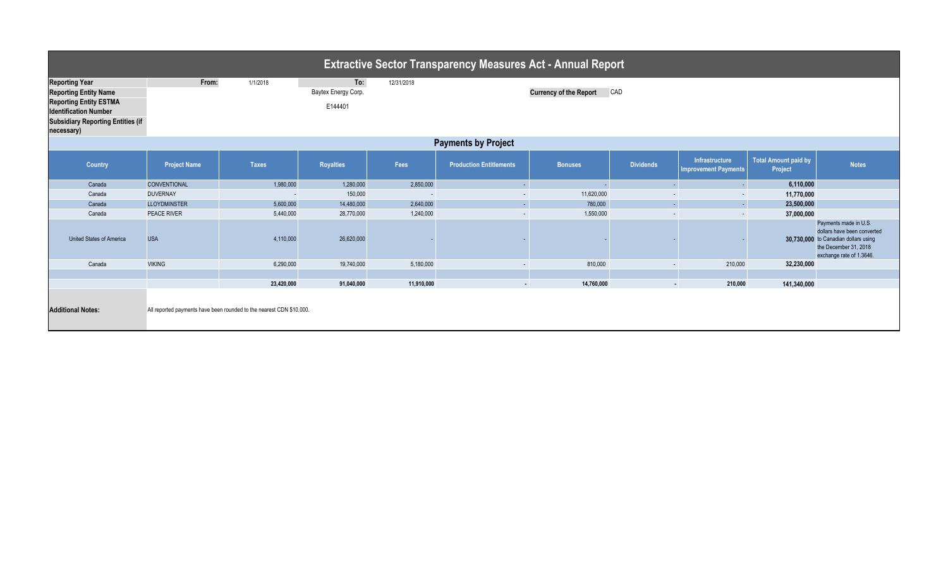| <b>Extractive Sector Transparency Measures Act - Annual Report</b>                                                                                                               |                     |                                                                      |                                       |            |                                |                               |                  |                                               |                                 |                                                                                                                                                   |  |
|----------------------------------------------------------------------------------------------------------------------------------------------------------------------------------|---------------------|----------------------------------------------------------------------|---------------------------------------|------------|--------------------------------|-------------------------------|------------------|-----------------------------------------------|---------------------------------|---------------------------------------------------------------------------------------------------------------------------------------------------|--|
| <b>Reporting Year</b><br><b>Reporting Entity Name</b><br><b>Reporting Entity ESTMA</b><br><b>Identification Number</b><br><b>Subsidiary Reporting Entities (if</b><br>necessary) | From:               | 1/1/2018                                                             | To:<br>Baytex Energy Corp.<br>E144401 | 12/31/2018 |                                | <b>Currency of the Report</b> | CAD              |                                               |                                 |                                                                                                                                                   |  |
|                                                                                                                                                                                  |                     |                                                                      |                                       |            | <b>Payments by Project</b>     |                               |                  |                                               |                                 |                                                                                                                                                   |  |
| <b>Country</b>                                                                                                                                                                   | <b>Project Name</b> | <b>Taxes</b>                                                         | <b>Royalties</b>                      | Fees       | <b>Production Entitlements</b> | <b>Bonuses</b>                | <b>Dividends</b> | Infrastructure<br><b>Improvement Payments</b> | Total Amount paid by<br>Project | <b>Notes</b>                                                                                                                                      |  |
| Canada                                                                                                                                                                           | <b>CONVENTIONAL</b> | 1,980,000                                                            | 1,280,000                             | 2,850,000  | $\sim$                         |                               |                  | $\sim$                                        | 6,110,000                       |                                                                                                                                                   |  |
| Canada                                                                                                                                                                           | <b>DUVERNAY</b>     | $\overline{\phantom{a}}$                                             | 150,000                               | $\sim$     | $\sim$                         | 11,620,000                    | $\sim$           | $\sim$                                        | 11,770,000                      |                                                                                                                                                   |  |
| Canada                                                                                                                                                                           | <b>LLOYDMINSTER</b> | 5,600,000                                                            | 14,480,000                            | 2,640,000  | $\omega$                       | 780,000                       | $\mathbb{Z}^+$   | $\sim$                                        | 23,500,000                      |                                                                                                                                                   |  |
| Canada                                                                                                                                                                           | <b>PEACE RIVER</b>  | 5,440,000                                                            | 28,770,000                            | 1,240,000  | $\sim$                         | 1,550,000                     | $\sim$           | $\sim$                                        | 37,000,000                      |                                                                                                                                                   |  |
| <b>United States of America</b>                                                                                                                                                  | <b>USA</b>          | 4,110,000                                                            | 26,620,000                            |            |                                |                               |                  |                                               |                                 | Payments made in U.S.<br>dollars have been converted<br>30,730,000 to Canadian dollars using<br>the December 31, 2018<br>exchange rate of 1.3646. |  |
| Canada                                                                                                                                                                           | <b>VIKING</b>       | 6,290,000                                                            | 19,740,000                            | 5,180,000  | $\sim$                         | 810,000                       | $\sim$           | 210,000                                       | 32,230,000                      |                                                                                                                                                   |  |
|                                                                                                                                                                                  |                     |                                                                      |                                       |            |                                |                               |                  |                                               |                                 |                                                                                                                                                   |  |
|                                                                                                                                                                                  |                     | 23,420,000                                                           | 91,040,000                            | 11,910,000 | $\sim$                         | 14,760,000                    | $\sim$           | 210,000                                       | 141,340,000                     |                                                                                                                                                   |  |
| <b>Additional Notes:</b>                                                                                                                                                         |                     | All reported payments have been rounded to the nearest CDN \$10,000. |                                       |            |                                |                               |                  |                                               |                                 |                                                                                                                                                   |  |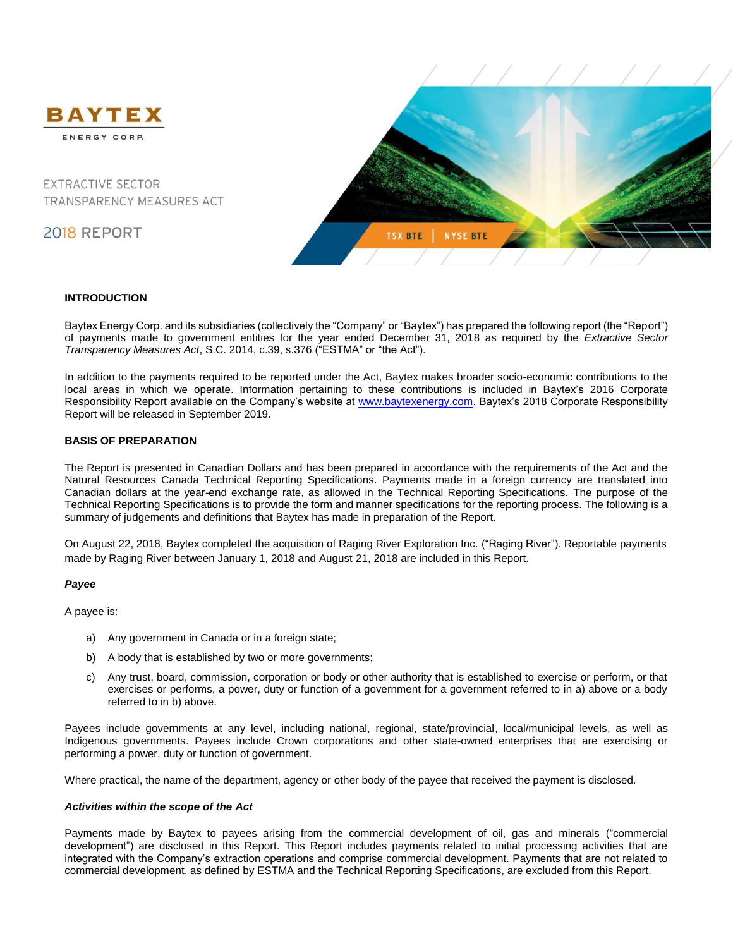

**EXTRACTIVE SECTOR** TRANSPARENCY MEASURES ACT

2018 REPORT



### **INTRODUCTION**

Baytex Energy Corp. and its subsidiaries (collectively the "Company" or "Baytex") has prepared the following report (the "Report") of payments made to government entities for the year ended December 31, 2018 as required by the *Extractive Sector Transparency Measures Act*, S.C. 2014, c.39, s.376 ("ESTMA" or "the Act").

In addition to the payments required to be reported under the Act, Baytex makes broader socio-economic contributions to the local areas in which we operate. Information pertaining to these contributions is included in Baytex's 2016 Corporate Responsibility Report available on the Company's website at [www.baytexenergy.com.](http://www.baytexenergy.com/) Baytex's 2018 Corporate Responsibility Report will be released in September 2019.

## **BASIS OF PREPARATION**

The Report is presented in Canadian Dollars and has been prepared in accordance with the requirements of the Act and the Natural Resources Canada Technical Reporting Specifications. Payments made in a foreign currency are translated into Canadian dollars at the year-end exchange rate, as allowed in the Technical Reporting Specifications. The purpose of the Technical Reporting Specifications is to provide the form and manner specifications for the reporting process. The following is a summary of judgements and definitions that Baytex has made in preparation of the Report.

On August 22, 2018, Baytex completed the acquisition of Raging River Exploration Inc. ("Raging River"). Reportable payments made by Raging River between January 1, 2018 and August 21, 2018 are included in this Report.

## *Payee*

A payee is:

- a) Any government in Canada or in a foreign state;
- b) A body that is established by two or more governments;
- c) Any trust, board, commission, corporation or body or other authority that is established to exercise or perform, or that exercises or performs, a power, duty or function of a government for a government referred to in a) above or a body referred to in b) above.

Payees include governments at any level, including national, regional, state/provincial, local/municipal levels, as well as Indigenous governments. Payees include Crown corporations and other state-owned enterprises that are exercising or performing a power, duty or function of government.

Where practical, the name of the department, agency or other body of the payee that received the payment is disclosed.

### *Activities within the scope of the Act*

Payments made by Baytex to payees arising from the commercial development of oil, gas and minerals ("commercial development") are disclosed in this Report. This Report includes payments related to initial processing activities that are integrated with the Company's extraction operations and comprise commercial development. Payments that are not related to commercial development, as defined by ESTMA and the Technical Reporting Specifications, are excluded from this Report.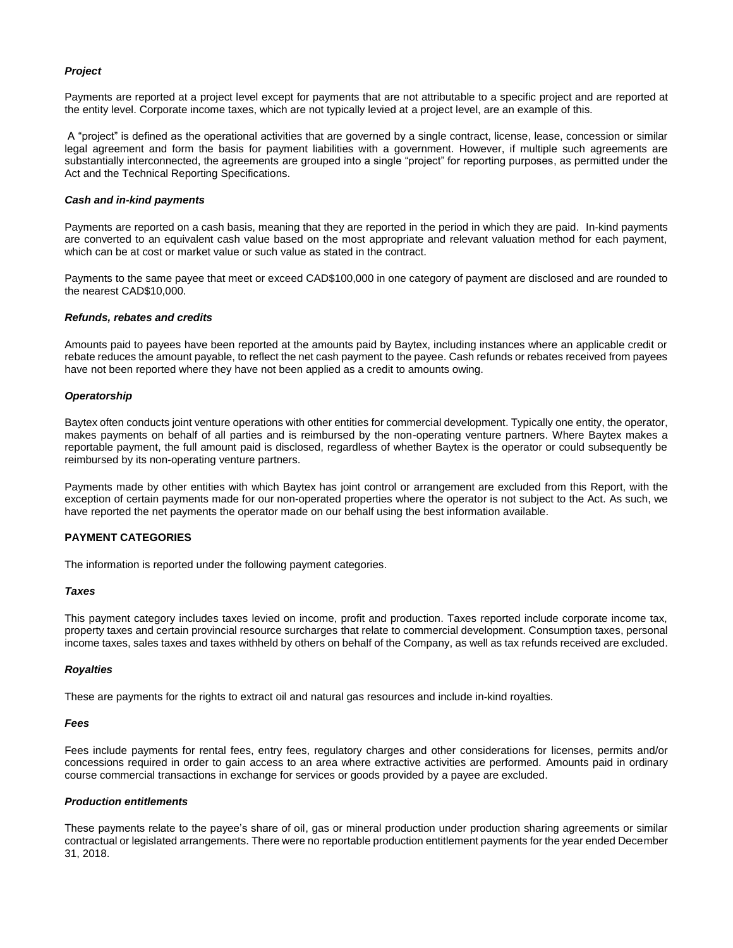### *Project*

Payments are reported at a project level except for payments that are not attributable to a specific project and are reported at the entity level. Corporate income taxes, which are not typically levied at a project level, are an example of this.

A "project" is defined as the operational activities that are governed by a single contract, license, lease, concession or similar legal agreement and form the basis for payment liabilities with a government. However, if multiple such agreements are substantially interconnected, the agreements are grouped into a single "project" for reporting purposes, as permitted under the Act and the Technical Reporting Specifications.

### *Cash and in-kind payments*

Payments are reported on a cash basis, meaning that they are reported in the period in which they are paid. In-kind payments are converted to an equivalent cash value based on the most appropriate and relevant valuation method for each payment, which can be at cost or market value or such value as stated in the contract.

Payments to the same payee that meet or exceed CAD\$100,000 in one category of payment are disclosed and are rounded to the nearest CAD\$10,000.

### *Refunds, rebates and credits*

Amounts paid to payees have been reported at the amounts paid by Baytex, including instances where an applicable credit or rebate reduces the amount payable, to reflect the net cash payment to the payee. Cash refunds or rebates received from payees have not been reported where they have not been applied as a credit to amounts owing.

### *Operatorship*

Baytex often conducts joint venture operations with other entities for commercial development. Typically one entity, the operator, makes payments on behalf of all parties and is reimbursed by the non-operating venture partners. Where Baytex makes a reportable payment, the full amount paid is disclosed, regardless of whether Baytex is the operator or could subsequently be reimbursed by its non-operating venture partners.

Payments made by other entities with which Baytex has joint control or arrangement are excluded from this Report, with the exception of certain payments made for our non-operated properties where the operator is not subject to the Act. As such, we have reported the net payments the operator made on our behalf using the best information available.

## **PAYMENT CATEGORIES**

The information is reported under the following payment categories.

### *Taxes*

This payment category includes taxes levied on income, profit and production. Taxes reported include corporate income tax, property taxes and certain provincial resource surcharges that relate to commercial development. Consumption taxes, personal income taxes, sales taxes and taxes withheld by others on behalf of the Company, as well as tax refunds received are excluded.

### *Royalties*

These are payments for the rights to extract oil and natural gas resources and include in-kind royalties.

### *Fees*

Fees include payments for rental fees, entry fees, regulatory charges and other considerations for licenses, permits and/or concessions required in order to gain access to an area where extractive activities are performed. Amounts paid in ordinary course commercial transactions in exchange for services or goods provided by a payee are excluded.

### *Production entitlements*

These payments relate to the payee's share of oil, gas or mineral production under production sharing agreements or similar contractual or legislated arrangements. There were no reportable production entitlement payments for the year ended December 31, 2018.